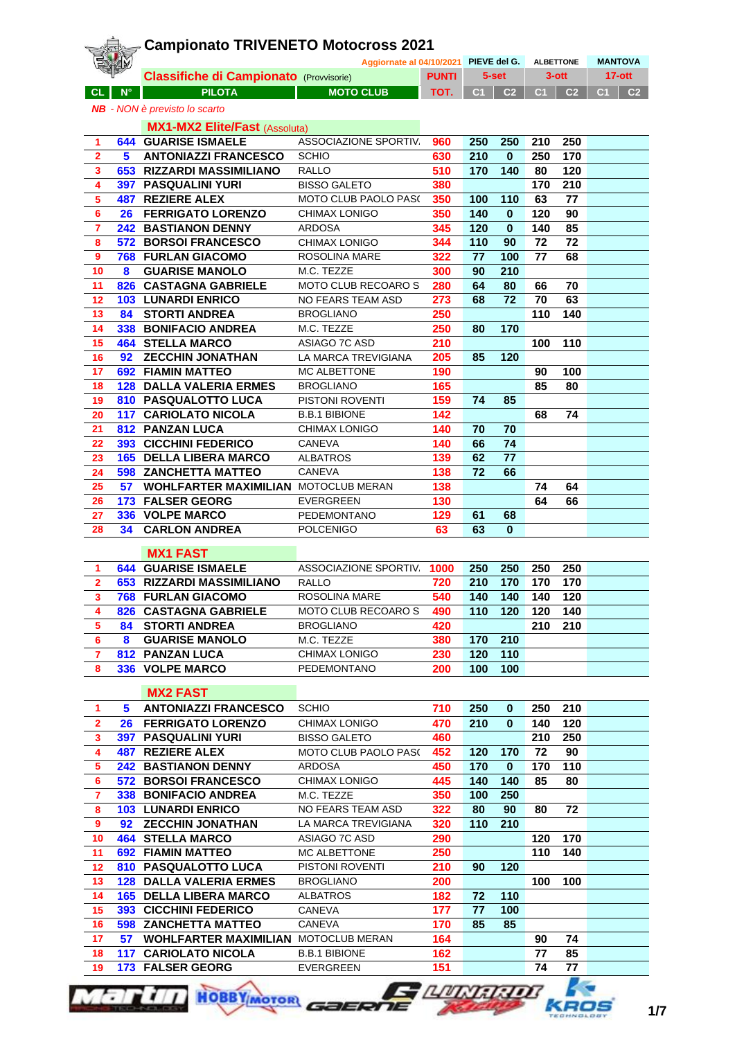|                         |             | <b>Campionato TRIVENETO Motocross 2021</b>                                    |                                       |              |           |                |                |                  |                      |
|-------------------------|-------------|-------------------------------------------------------------------------------|---------------------------------------|--------------|-----------|----------------|----------------|------------------|----------------------|
|                         |             |                                                                               | Aggiornate al 04/10/2021 PIEVE del G. |              |           |                |                | <b>ALBETTONE</b> | <b>MANTOVA</b>       |
|                         |             | <b>Classifiche di Campionato (Provvisorie)</b>                                |                                       | <b>PUNTI</b> |           | 5-set          |                | $3$ -ott         | $17-ott$             |
| <b>CL</b>               | $N^{\circ}$ | <b>PILOTA</b>                                                                 | <b>MOTO CLUB</b>                      | TOT.         | C1        | C <sub>2</sub> | C <sub>1</sub> | C <sub>2</sub>   | C <sub>2</sub><br>C1 |
|                         |             | <b>NB</b> - NON è previsto lo scarto                                          |                                       |              |           |                |                |                  |                      |
|                         |             | <b>MX1-MX2 Elite/Fast (Assoluta)</b>                                          |                                       |              |           |                |                |                  |                      |
| 1                       |             | <b>644 GUARISE ISMAELE</b>                                                    | ASSOCIAZIONE SPORTIV.                 | 960          | 250       | 250            | 210            | 250              |                      |
| $\mathbf{2}$            | 5           | <b>ANTONIAZZI FRANCESCO</b>                                                   | <b>SCHIO</b>                          | 630          | 210       | $\mathbf{0}$   | 250            | 170              |                      |
| 3<br>4                  |             | 653 RIZZARDI MASSIMILIANO<br><b>397 PASQUALINI YURI</b>                       | <b>RALLO</b><br><b>BISSO GALETO</b>   | 510<br>380   | 170       | 140            | 80<br>170      | 120<br>210       |                      |
| 5                       |             | <b>487 REZIERE ALEX</b>                                                       | <b>MOTO CLUB PAOLO PAS(</b>           | 350          | 100       | 110            | 63             | 77               |                      |
| 6                       |             | <b>26 FERRIGATO LORENZO</b>                                                   | CHIMAX LONIGO                         | 350          | 140       | $\mathbf{0}$   | 120            | 90               |                      |
| $\overline{7}$          |             | <b>242 BASTIANON DENNY</b>                                                    | <b>ARDOSA</b>                         | 345          | 120       | $\mathbf{0}$   | 140            | 85               |                      |
| 8                       |             | <b>572 BORSOI FRANCESCO</b>                                                   | CHIMAX LONIGO                         | 344          | 110       | 90             | 72             | 72               |                      |
| 9                       |             | <b>768 FURLAN GIACOMO</b>                                                     | ROSOLINA MARE                         | 322          | 77        | 100            | 77             | 68               |                      |
| 10                      | 8           | <b>GUARISE MANOLO</b>                                                         | M.C. TEZZE                            | 300          | 90        | 210            |                |                  |                      |
| 11                      |             | 826 CASTAGNA GABRIELE                                                         | MOTO CLUB RECOARO S                   | 280          | 64        | 80             | 66             | 70               |                      |
| 12<br>13                | 84          | <b>103 LUNARDI ENRICO</b><br><b>STORTI ANDREA</b>                             | NO FEARS TEAM ASD<br><b>BROGLIANO</b> | 273<br>250   | 68        | 72             | 70<br>110      | 63<br>140        |                      |
| 14                      |             | 338 BONIFACIO ANDREA                                                          | M.C. TEZZE                            | 250          | 80        | 170            |                |                  |                      |
| 15                      |             | <b>464 STELLA MARCO</b>                                                       | ASIAGO 7C ASD                         | 210          |           |                | 100            | 110              |                      |
| 16                      |             | 92 ZECCHIN JONATHAN                                                           | LA MARCA TREVIGIANA                   | 205          | 85        | 120            |                |                  |                      |
| 17                      |             | <b>692 FIAMIN MATTEO</b>                                                      | MC ALBETTONE                          | 190          |           |                | 90             | 100              |                      |
| 18                      |             | <b>128 DALLA VALERIA ERMES</b>                                                | <b>BROGLIANO</b>                      | 165          |           |                | 85             | 80               |                      |
| 19                      |             | 810 PASQUALOTTO LUCA                                                          | PISTONI ROVENTI                       | 159          | 74        | 85             |                |                  |                      |
| 20                      |             | <b>117 CARIOLATO NICOLA</b>                                                   | <b>B.B.1 BIBIONE</b>                  | 142          |           |                | 68             | 74               |                      |
| 21                      |             | <b>812 PANZAN LUCA</b>                                                        | CHIMAX LONIGO                         | 140          | 70        | 70             |                |                  |                      |
| 22                      |             | <b>393 CICCHINI FEDERICO</b>                                                  | CANEVA                                | 140          | 66        | 74<br>77       |                |                  |                      |
| 23<br>24                |             | <b>165 DELLA LIBERA MARCO</b><br><b>598 ZANCHETTA MATTEO</b>                  | <b>ALBATROS</b><br>CANEVA             | 139<br>138   | 62<br>72  | 66             |                |                  |                      |
| 25                      |             | <b>57 WOHLFARTER MAXIMILIAN MOTOCLUB MERAN</b>                                |                                       | 138          |           |                | 74             | 64               |                      |
| 26                      |             | 173 FALSER GEORG                                                              | <b>EVERGREEN</b>                      | 130          |           |                | 64             | 66               |                      |
| 27                      |             | 336 VOLPE MARCO                                                               | <b>PEDEMONTANO</b>                    | 129          | 61        | 68             |                |                  |                      |
| 28                      | 34          | <b>CARLON ANDREA</b>                                                          | <b>POLCENIGO</b>                      | 63           | 63        | $\bf{0}$       |                |                  |                      |
|                         |             | <b>MX1 FAST</b>                                                               |                                       |              |           |                |                |                  |                      |
| 1                       |             | <b>644 GUARISE ISMAELE</b>                                                    | ASSOCIAZIONE SPORTIV.                 | 1000         | 250       | 250            | 250            | 250              |                      |
| 2                       |             | 653 RIZZARDI MASSIMILIANO                                                     | RALLO                                 | 720          | 210       | 170            | 170            | 170              |                      |
| 3                       |             | <b>768 FURLAN GIACOMO</b>                                                     | ROSOLINA MARE                         | 540          | 140       | 140            | 140            | 120              |                      |
| 4                       |             | 826 CASTAGNA GABRIELE                                                         | MOTO CLUB RECOARO S                   | 490          | 110       | 120            | 120            | 140              |                      |
| 5                       | 84          | <b>STORTI ANDREA</b>                                                          | <b>BROGLIANO</b>                      | 420          |           |                | 210            | 210              |                      |
| 6                       | 8           | <b>GUARISE MANOLO</b>                                                         | M.C. TEZZE                            | 380          | 170       | 210            |                |                  |                      |
| $\mathbf{7}$            |             | <b>812 PANZAN LUCA</b>                                                        | CHIMAX LONIGO                         | 230          | 120       | 110            |                |                  |                      |
| 8                       |             | 336 VOLPE MARCO                                                               | PEDEMONTANO                           | 200          | 100       | 100            |                |                  |                      |
|                         |             | <b>MX2 FAST</b>                                                               |                                       |              |           |                |                |                  |                      |
| 1                       | 5           | <b>ANTONIAZZI FRANCESCO</b>                                                   | <b>SCHIO</b>                          | 710          | 250       | $\bf{0}$       | 250            | 210              |                      |
| $\mathbf{2}$            |             | 26 FERRIGATO LORENZO                                                          | CHIMAX LONIGO                         | 470          | 210       | $\bf{0}$       | 140            | 120              |                      |
| 3                       |             | <b>397 PASQUALINI YURI</b>                                                    | <b>BISSO GALETO</b>                   | 460          |           |                | 210            | 250              |                      |
| $\overline{\mathbf{4}}$ |             | <b>487 REZIERE ALEX</b>                                                       | <b>MOTO CLUB PAOLO PAS(</b>           | 452          | 120       | 170            | 72             | 90               |                      |
| 5                       |             | <b>242 BASTIANON DENNY</b>                                                    | ARDOSA                                | 450          | 170       | $\bf{0}$       | 170            | 110              |                      |
| 6                       |             | <b>572 BORSOI FRANCESCO</b>                                                   | CHIMAX LONIGO                         | 445          | 140       | 140            | 85             | 80               |                      |
| $\overline{7}$<br>8     |             | <b>338 BONIFACIO ANDREA</b><br><b>103 LUNARDI ENRICO</b>                      | M.C. TEZZE<br>NO FEARS TEAM ASD       | 350<br>322   | 100<br>80 | 250<br>90      | 80             | 72               |                      |
| 9                       |             | 92 ZECCHIN JONATHAN                                                           | LA MARCA TREVIGIANA                   | 320          | 110       | 210            |                |                  |                      |
| 10                      |             | <b>464 STELLA MARCO</b>                                                       | ASIAGO 7C ASD                         | 290          |           |                | 120            | 170              |                      |
| 11                      |             | <b>692 FIAMIN MATTEO</b>                                                      | MC ALBETTONE                          | 250          |           |                | 110            | 140              |                      |
| 12                      |             | 810 PASQUALOTTO LUCA                                                          | PISTONI ROVENTI                       | 210          | 90        | 120            |                |                  |                      |
| 13                      |             | <b>128 DALLA VALERIA ERMES</b>                                                | <b>BROGLIANO</b>                      | 200          |           |                | 100            | 100              |                      |
| 14                      |             | <b>165 DELLA LIBERA MARCO</b>                                                 | <b>ALBATROS</b>                       | 182          | 72        | 110            |                |                  |                      |
| 15                      |             | <b>393 CICCHINI FEDERICO</b>                                                  | CANEVA                                | 177          | 77        | 100            |                |                  |                      |
| 16                      |             | <b>598 ZANCHETTA MATTEO</b>                                                   | CANEVA                                | 170          | 85        | 85             |                |                  |                      |
| 17<br>18                |             | <b>57 WOHLFARTER MAXIMILIAN MOTOCLUB MERAN</b><br><b>117 CARIOLATO NICOLA</b> | <b>B.B.1 BIBIONE</b>                  | 164<br>162   |           |                | 90<br>77       | 74<br>85         |                      |
| 19                      |             | 173 FALSER GEORG                                                              | EVERGREEN                             | 151          |           |                | 74             | 77               |                      |
|                         |             |                                                                               |                                       |              |           |                |                |                  |                      |





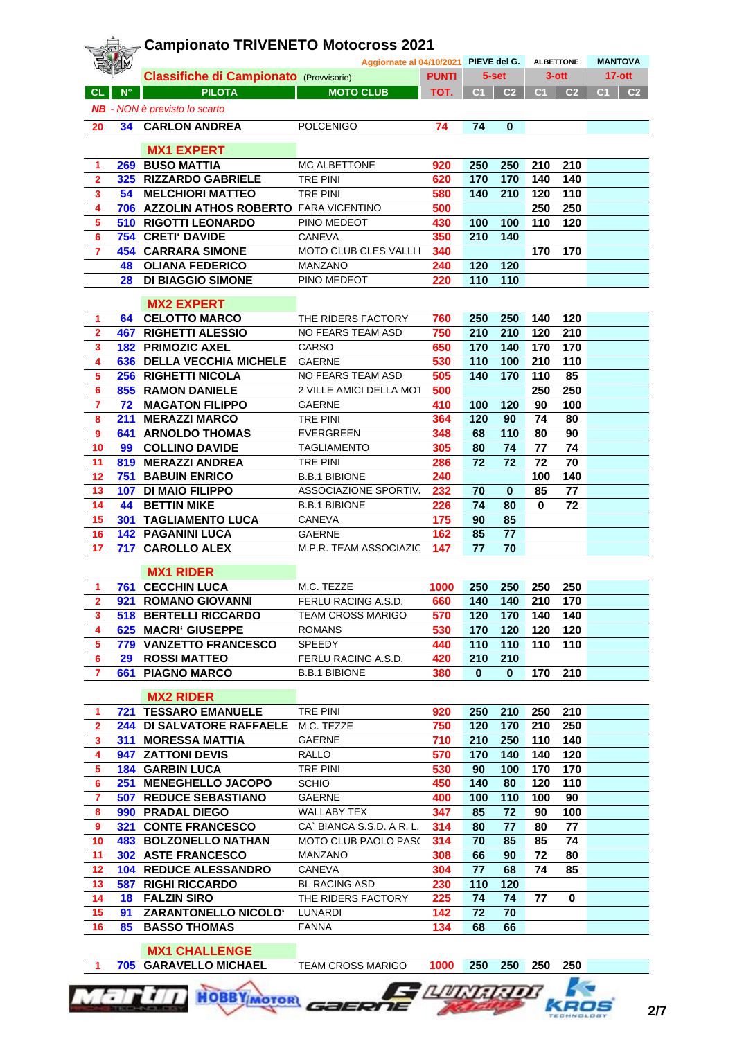|                         |                    | <b>Campionato TRIVENETO Motocross 2021</b>     |                           |              |              |                |          |                  |                                  |  |  |
|-------------------------|--------------------|------------------------------------------------|---------------------------|--------------|--------------|----------------|----------|------------------|----------------------------------|--|--|
|                         |                    | Aggiornate al 04/10/2021                       |                           |              | PIEVE del G. |                |          | <b>ALBETTONE</b> | <b>MANTOVA</b>                   |  |  |
|                         |                    | <b>Classifiche di Campionato (Provvisorie)</b> |                           | <b>PUNTI</b> |              | $5-set$        | $3$ -ott |                  | $17-$ ott                        |  |  |
| <b>CL</b>               | $\mathsf{N}^\circ$ | <b>PILOTA</b>                                  | <b>MOTO CLUB</b>          | TOT.         | C1           | C <sub>2</sub> | C1       | C <sub>2</sub>   | C <sub>1</sub><br>C <sub>2</sub> |  |  |
|                         |                    | <b>NB</b> - NON è previsto lo scarto           |                           |              |              |                |          |                  |                                  |  |  |
| 20                      | 34                 | <b>CARLON ANDREA</b>                           | <b>POLCENIGO</b>          | 74           | 74           | $\bf{0}$       |          |                  |                                  |  |  |
|                         |                    |                                                |                           |              |              |                |          |                  |                                  |  |  |
|                         |                    | <b>MX1 EXPERT</b>                              |                           |              |              |                |          |                  |                                  |  |  |
| 1                       |                    | 269 BUSO MATTIA                                | MC ALBETTONE              | 920          | 250          | 250            | 210      | 210              |                                  |  |  |
| $\overline{2}$          |                    | 325 RIZZARDO GABRIELE                          | <b>TRE PINI</b>           | 620          | 170          | 170            | 140      | 140              |                                  |  |  |
| 3                       | 54                 | <b>MELCHIORI MATTEO</b>                        | <b>TRE PINI</b>           | 580          | 140          | 210            | 120      | 110              |                                  |  |  |
| 4                       |                    | 706 AZZOLIN ATHOS ROBERTO FARA VICENTINO       |                           | 500          |              |                | 250      | 250              |                                  |  |  |
| 5                       |                    | <b>510 RIGOTTI LEONARDO</b>                    | PINO MEDEOT               | 430          | 100          | 100            | 110      | 120              |                                  |  |  |
| 6                       |                    | 754 CRETI' DAVIDE                              | CANEVA                    | 350          | 210          | 140            |          |                  |                                  |  |  |
| 7                       |                    | <b>454 CARRARA SIMONE</b>                      | MOTO CLUB CLES VALLI I    | 340          |              |                | 170      | 170              |                                  |  |  |
|                         | 48                 | <b>OLIANA FEDERICO</b>                         | MANZANO                   | 240          | 120          | 120            |          |                  |                                  |  |  |
|                         | 28                 | <b>DI BIAGGIO SIMONE</b>                       | PINO MEDEOT               | 220          | 110          | 110            |          |                  |                                  |  |  |
|                         |                    |                                                |                           |              |              |                |          |                  |                                  |  |  |
|                         |                    | <b>MX2 EXPERT</b>                              |                           |              |              |                |          |                  |                                  |  |  |
| 1                       | 64                 | <b>CELOTTO MARCO</b>                           | THE RIDERS FACTORY        | 760          | 250          | 250            | 140      | 120              |                                  |  |  |
| $\overline{\mathbf{2}}$ | 467                | <b>RIGHETTI ALESSIO</b>                        | NO FEARS TEAM ASD         | 750          | 210          | 210            | 120      | 210              |                                  |  |  |
| 3                       |                    | <b>182 PRIMOZIC AXEL</b>                       | CARSO                     | 650          | 170          | 140            | 170      | 170              |                                  |  |  |
| 4                       |                    | 636 DELLA VECCHIA MICHELE                      | <b>GAERNE</b>             | 530          | 110          | 100            | 210      | 110              |                                  |  |  |
| 5                       |                    | 256 RIGHETTI NICOLA                            | NO FEARS TEAM ASD         | 505          | 140          | 170            | 110      | 85               |                                  |  |  |
| 6                       |                    | <b>855 RAMON DANIELE</b>                       | 2 VILLE AMICI DELLA MOT   | 500          |              |                | 250      | 250              |                                  |  |  |
| $\overline{\mathbf{r}}$ | 72                 | <b>MAGATON FILIPPO</b>                         | <b>GAERNE</b>             | 410          | 100          | 120            | 90       | 100              |                                  |  |  |
| 8                       | 211                | <b>MERAZZI MARCO</b>                           | TRE PINI                  | 364          | 120          | 90             | 74       | 80               |                                  |  |  |
| 9                       | 641                | <b>ARNOLDO THOMAS</b>                          | EVERGREEN                 | 348          | 68           | 110            | 80       | 90               |                                  |  |  |
| 10                      | 99                 | <b>COLLINO DAVIDE</b>                          | <b>TAGLIAMENTO</b>        | 305          | 80           | 74             | 77       | 74               |                                  |  |  |
| 11                      |                    | 819 MERAZZI ANDREA                             | TRE PINI                  | 286          | 72           | 72             | 72       | 70               |                                  |  |  |
| 12                      |                    | <b>751 BABUIN ENRICO</b>                       | <b>B.B.1 BIBIONE</b>      | 240          |              |                | 100      | 140              |                                  |  |  |
| 13                      |                    | <b>107 DI MAIO FILIPPO</b>                     | ASSOCIAZIONE SPORTIV.     | 232          | 70           | $\bf{0}$       | 85       | 77               |                                  |  |  |
| 14                      | 44                 | <b>BETTIN MIKE</b>                             | <b>B.B.1 BIBIONE</b>      | 226          | 74           | 80             | $\bf{0}$ | 72               |                                  |  |  |
| 15                      |                    | <b>301 TAGLIAMENTO LUCA</b>                    | CANEVA                    | 175          | 90           | 85             |          |                  |                                  |  |  |
| 16                      |                    | <b>142 PAGANINI LUCA</b>                       | <b>GAERNE</b>             | 162          | 85           | 77             |          |                  |                                  |  |  |
| 17                      | 717                | <b>CAROLLO ALEX</b>                            | M.P.R. TEAM ASSOCIAZIC    | 147          | 77           | 70             |          |                  |                                  |  |  |
|                         |                    |                                                |                           |              |              |                |          |                  |                                  |  |  |
|                         |                    | <b>MX1 RIDER</b>                               |                           |              |              |                |          |                  |                                  |  |  |
| 1                       |                    | <b>761 CECCHIN LUCA</b>                        | M.C. TEZZE                | 1000         |              | 250 250        | 250      | 250              |                                  |  |  |
| $\mathbf{2}$            |                    | 921 ROMANO GIOVANNI                            | FERLU RACING A.S.D.       | 660          | 140          | 140            | 210      | 170              |                                  |  |  |
| 3                       |                    | <b>518 BERTELLI RICCARDO</b>                   | <b>TEAM CROSS MARIGO</b>  | 570          | 120          | 170            | 140      | 140              |                                  |  |  |
| 4                       |                    | <b>625 MACRI' GIUSEPPE</b>                     | ROMANS                    | 530          | 170          | 120            | 120      | 120              |                                  |  |  |
| 5                       |                    | 779 VANZETTO FRANCESCO                         | SPEEDY                    | 440          | 110          | 110            | 110      | 110              |                                  |  |  |
| 6                       | 29                 | <b>ROSSI MATTEO</b>                            | FERLU RACING A.S.D.       | 420          | 210          | 210            |          |                  |                                  |  |  |
| 7                       |                    | 661 PIAGNO MARCO                               | <b>B.B.1 BIBIONE</b>      | 380          | $\mathbf 0$  | $\mathbf{0}$   | 170      | 210              |                                  |  |  |
|                         |                    |                                                |                           |              |              |                |          |                  |                                  |  |  |
|                         |                    | <b>MX2 RIDER</b>                               |                           |              |              |                |          |                  |                                  |  |  |
| 1                       |                    | <b>721 TESSARO EMANUELE</b>                    | TRE PINI                  | 920          | 250          | 210            | 250      | 210              |                                  |  |  |
| $\mathbf{2}$            |                    | <b>244 DI SALVATORE RAFFAELE</b>               | M.C. TEZZE                | 750          | 120          | 170            | 210      | 250              |                                  |  |  |
| 3                       |                    | <b>311 MORESSA MATTIA</b>                      | <b>GAERNE</b>             | 710          | 210          | 250            | 110      | 140              |                                  |  |  |
| 4                       |                    | 947 ZATTONI DEVIS                              | RALLO                     | 570          | 170          | 140            | 140      | 120              |                                  |  |  |
| 5                       |                    | <b>184 GARBIN LUCA</b>                         | TRE PINI                  | 530          | 90           | 100            | 170      | 170              |                                  |  |  |
| 6                       | 251                | <b>MENEGHELLO JACOPO</b>                       | <b>SCHIO</b>              | 450          | 140          | 80             | 120      | 110              |                                  |  |  |
| $\overline{7}$          |                    | <b>507 REDUCE SEBASTIANO</b>                   | <b>GAERNE</b>             | 400          | 100          | 110            | 100      | 90               |                                  |  |  |
| 8                       |                    | 990 PRADAL DIEGO                               | WALLABY TEX               | 347          | 85           | 72             | 90       | 100              |                                  |  |  |
| 9                       |                    | <b>321 CONTE FRANCESCO</b>                     | CA` BIANCA S.S.D. A R. L. | 314          | 80           | 77             | 80       | 77               |                                  |  |  |
| 10                      |                    | <b>483 BOLZONELLO NATHAN</b>                   | MOTO CLUB PAOLO PAS(      | 314          | 70           | 85             | 85       | 74               |                                  |  |  |
| 11                      |                    | <b>302 ASTE FRANCESCO</b>                      | MANZANO                   | 308          | 66           | 90             | 72       | 80               |                                  |  |  |
| 12                      |                    | <b>104 REDUCE ALESSANDRO</b>                   | CANEVA                    | 304          | 77           | 68             | 74       | 85               |                                  |  |  |
| 13                      |                    | <b>587 RIGHI RICCARDO</b>                      | BL RACING ASD             | 230          | 110          | 120            |          |                  |                                  |  |  |
| 14                      | 18                 | <b>FALZIN SIRO</b>                             | THE RIDERS FACTORY        | 225          | 74           | 74             | 77       | 0                |                                  |  |  |
| 15                      | 91                 | <b>ZARANTONELLO NICOLO'</b>                    | LUNARDI                   | 142          | 72           | 70             |          |                  |                                  |  |  |
| 16                      | 85 -               | <b>BASSO THOMAS</b>                            | <b>FANNA</b>              | 134          | 68           | 66             |          |                  |                                  |  |  |
|                         |                    |                                                |                           |              |              |                |          |                  |                                  |  |  |

 **MX1 CHALLENGE**

**705 GARAVELLO MICHAEL** TEAM CROSS MARIGO **1000 250 250 250 250**

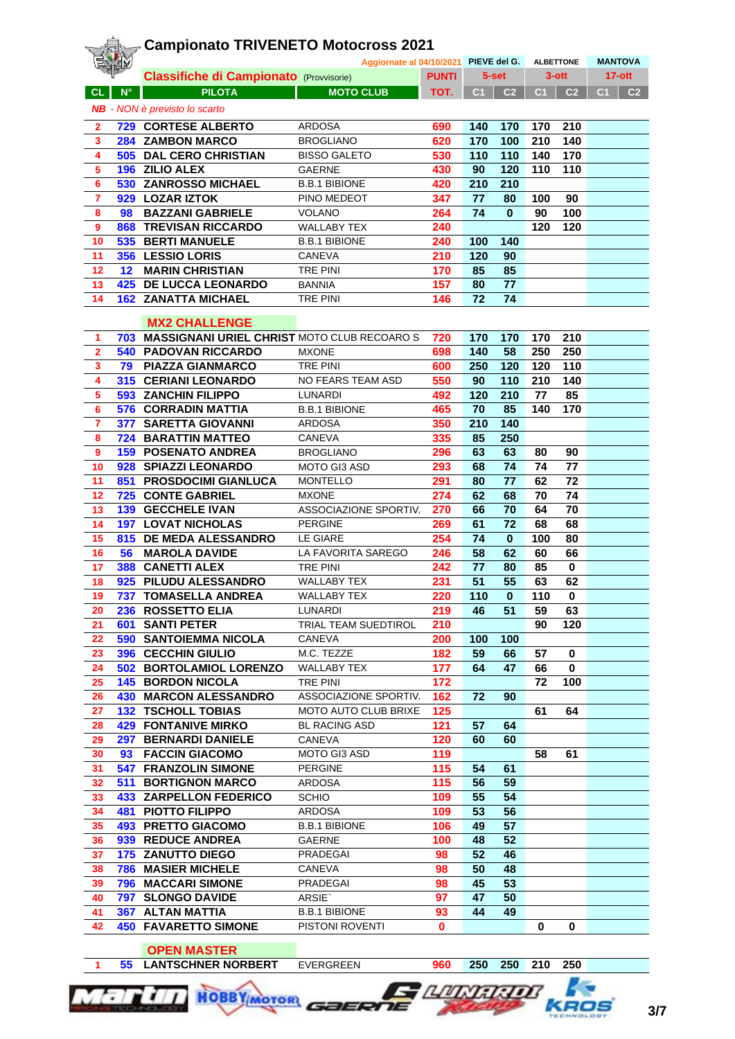|                         |             | <b>Campionato TRIVENETO Motocross 2021</b>      |                                       |              |                |                |                |                  |                                  |
|-------------------------|-------------|-------------------------------------------------|---------------------------------------|--------------|----------------|----------------|----------------|------------------|----------------------------------|
|                         |             |                                                 | Aggiornate al 04/10/2021 PIEVE del G. |              |                |                |                | <b>ALBETTONE</b> | <b>MANTOVA</b>                   |
|                         |             | <b>Classifiche di Campionato (Provvisorie)</b>  |                                       | <b>PUNTI</b> |                | 5-set          |                | $3$ -ott         | $17-ott$                         |
| <b>CL</b>               | $N^{\circ}$ | <b>PILOTA</b>                                   | <b>MOTO CLUB</b>                      | TOT.         | C <sub>1</sub> | C <sub>2</sub> | C <sub>1</sub> | C <sub>2</sub>   | C <sub>1</sub><br>C <sub>2</sub> |
|                         |             | <b>NB</b> - NON è previsto lo scarto            |                                       |              |                |                |                |                  |                                  |
|                         |             | 729 CORTESE ALBERTO                             | <b>ARDOSA</b>                         | 690          | 140            | 170            | 170            | 210              |                                  |
| $\mathbf{2}$<br>3       |             | 284 ZAMBON MARCO                                | <b>BROGLIANO</b>                      | 620          | 170            | 100            | 210            | 140              |                                  |
| 4                       |             | <b>505 DAL CERO CHRISTIAN</b>                   | <b>BISSO GALETO</b>                   | 530          | 110            | 110            | 140            | 170              |                                  |
| 5                       |             | 196 ZILIO ALEX                                  | <b>GAERNE</b>                         | 430          | 90             | 120            | 110            | 110              |                                  |
| 6                       |             | 530 ZANROSSO MICHAEL                            | <b>B.B.1 BIBIONE</b>                  | 420          | 210            | 210            |                |                  |                                  |
| 7                       |             | 929 LOZAR IZTOK                                 | PINO MEDEOT                           | 347          | 77             | 80             | 100            | 90               |                                  |
| 8                       | 98          | <b>BAZZANI GABRIELE</b>                         | <b>VOLANO</b>                         | 264          | 74             | $\bf{0}$       | 90             | 100              |                                  |
| 9                       |             | <b>868 TREVISAN RICCARDO</b>                    | <b>WALLABY TEX</b>                    | 240          |                |                | 120            | 120              |                                  |
| 10                      |             | 535 BERTI MANUELE                               | <b>B.B.1 BIBIONE</b>                  | 240          | 100            | 140            |                |                  |                                  |
| 11                      |             | 356 LESSIO LORIS                                | CANEVA                                | 210          | 120            | 90             |                |                  |                                  |
| 12                      |             | <b>12 MARIN CHRISTIAN</b>                       | <b>TRE PINI</b>                       | 170          | 85             | 85             |                |                  |                                  |
| 13                      |             | <b>425 DE LUCCA LEONARDO</b>                    | <b>BANNIA</b>                         | 157          | 80             | 77             |                |                  |                                  |
| 14                      |             | <b>162 ZANATTA MICHAEL</b>                      | <b>TRE PINI</b>                       | 146          | 72             | 74             |                |                  |                                  |
|                         |             |                                                 |                                       |              |                |                |                |                  |                                  |
|                         |             | <b>MX2 CHALLENGE</b>                            |                                       |              |                |                |                |                  |                                  |
| 1                       |             | 703 MASSIGNANI URIEL CHRISTIMOTO CLUB RECOARO S |                                       | 720          | 170            | 170            | 170            | 210              |                                  |
| $\overline{\mathbf{2}}$ |             | <b>540 PADOVAN RICCARDO</b>                     | <b>MXONE</b>                          | 698          | 140            | 58             | 250            | 250              |                                  |
| 3                       |             | 79 PIAZZA GIANMARCO                             | <b>TRE PINI</b>                       | 600          | 250            | 120            | 120            | 110              |                                  |
| 4                       |             | <b>315 CERIANI LEONARDO</b>                     | NO FEARS TEAM ASD                     | 550          | 90             | 110            | 210            | 140              |                                  |
| 5                       |             | <b>593 ZANCHIN FILIPPO</b>                      | LUNARDI                               | 492          | 120            | 210            | 77             | 85               |                                  |
| 6                       |             | <b>576 CORRADIN MATTIA</b>                      | <b>B.B.1 BIBIONE</b>                  | 465          | 70             | 85             | 140            | 170              |                                  |
| 7                       |             | 377 SARETTA GIOVANNI                            | <b>ARDOSA</b>                         | 350          | 210            | 140            |                |                  |                                  |
| 8                       |             | <b>724 BARATTIN MATTEO</b>                      | CANEVA                                | 335          | 85             | 250            |                |                  |                                  |
| $\boldsymbol{9}$        |             | <b>159 POSENATO ANDREA</b>                      | <b>BROGLIANO</b>                      | 296          | 63             | 63             | 80             | 90               |                                  |
| 10                      |             | 928 SPIAZZI LEONARDO                            | <b>MOTO GI3 ASD</b>                   | 293          | 68             | 74             | 74             | 77               |                                  |
| 11                      |             | <b>851 PROSDOCIMI GIANLUCA</b>                  | <b>MONTELLO</b>                       | 291          | 80             | 77             | 62             | 72               |                                  |
| 12                      |             | <b>725 CONTE GABRIEL</b>                        | <b>MXONE</b>                          | 274          | 62             | 68             | 70             | 74               |                                  |
| 13                      |             | <b>139 GECCHELE IVAN</b>                        | ASSOCIAZIONE SPORTIV.                 | 270          | 66             | 70             | 64             | 70               |                                  |
| 14                      |             | <b>197 LOVAT NICHOLAS</b>                       | <b>PERGINE</b>                        | 269          | 61             | 72             | 68             | 68               |                                  |
| 15                      |             | 815 DE MEDA ALESSANDRO                          | LE GIARE                              | 254          | 74             | $\mathbf{0}$   | 100            | 80               |                                  |
| 16                      | 56          | <b>MAROLA DAVIDE</b>                            | LA FAVORITA SAREGO                    | 246          | 58             | 62             | 60             | 66               |                                  |
| 17                      |             | <b>388 CANETTI ALEX</b>                         | <b>TRE PINI</b>                       | 242          | 77             | 80             | 85             | $\bf{0}$         |                                  |
| 18                      |             | 925 PILUDU ALESSANDRO                           | <b>WALLABY TEX</b>                    | 231          | 51             | 55             | 63             | 62               |                                  |
| 19                      |             | <b>737 TOMASELLA ANDREA</b>                     | <b>WALLABY TEX</b>                    | 220          | 110            | $\bf{0}$       | 110            | $\bf{0}$         |                                  |
| 20                      |             | 236 ROSSETTO ELIA                               | LUNARDI                               | 219          | 46             | 51             | 59             | 63               |                                  |
| 21                      |             | <b>601 SANTI PETER</b>                          | TRIAL TEAM SUEDTIROL                  | 210          |                |                | 90             | 120              |                                  |
| 22                      |             | <b>590 SANTOIEMMA NICOLA</b>                    | CANEVA                                | 200          | 100            | 100            |                |                  |                                  |
| 23                      |             | 396 CECCHIN GIULIO                              | M.C. TEZZE                            | 182          | 59             | 66             | 57             | $\mathbf 0$      |                                  |
| 24                      |             | 502 BORTOLAMIOL LORENZO                         | <b>WALLABY TEX</b>                    | 177          | 64             | 47             | 66             | $\mathbf 0$      |                                  |
| 25                      |             | <b>145 BORDON NICOLA</b>                        | TRE PINI                              | 172          |                |                | 72             | 100              |                                  |
| 26                      |             | <b>430 MARCON ALESSANDRO</b>                    | ASSOCIAZIONE SPORTIV.                 | 162          | 72             | 90             |                |                  |                                  |
| 27                      |             | <b>132 TSCHOLL TOBIAS</b>                       | <b>MOTO AUTO CLUB BRIXE</b>           | 125          |                |                | 61             | 64               |                                  |
| 28                      |             | <b>429 FONTANIVE MIRKO</b>                      | <b>BL RACING ASD</b>                  | 121          | 57             | 64             |                |                  |                                  |
| 29                      |             | 297 BERNARDI DANIELE                            | CANEVA                                | 120          | 60             | 60             |                |                  |                                  |
| 30                      |             | 93 FACCIN GIACOMO                               | <b>MOTO GI3 ASD</b>                   | 119          |                |                | 58             | 61               |                                  |
| 31                      |             | <b>547 FRANZOLIN SIMONE</b>                     | <b>PERGINE</b>                        | 115          | 54             | 61             |                |                  |                                  |
| 32                      |             | <b>511 BORTIGNON MARCO</b>                      | <b>ARDOSA</b>                         | 115          | 56             | 59             |                |                  |                                  |
| 33                      |             | <b>433 ZARPELLON FEDERICO</b>                   | <b>SCHIO</b>                          | 109          | 55             | 54             |                |                  |                                  |
| 34                      |             | <b>481 PIOTTO FILIPPO</b>                       | <b>ARDOSA</b>                         | 109          | 53             | 56             |                |                  |                                  |
| 35                      |             | <b>493 PRETTO GIACOMO</b>                       | <b>B.B.1 BIBIONE</b>                  | 106          | 49             | 57             |                |                  |                                  |
| 36                      |             | 939 REDUCE ANDREA                               | <b>GAERNE</b>                         | 100          | 48             | 52             |                |                  |                                  |
| 37                      |             | <b>175 ZANUTTO DIEGO</b>                        | PRADEGAI                              | 98           | 52             | 46             |                |                  |                                  |
| 38                      |             | <b>786 MASIER MICHELE</b>                       | CANEVA                                | 98           | 50             | 48             |                |                  |                                  |
| 39                      |             | <b>796 MACCARI SIMONE</b>                       | PRADEGAI                              | 98           | 45             | 53             |                |                  |                                  |
| 40                      |             | 797 SLONGO DAVIDE                               | ARSIE`                                | 97           | 47             | 50             |                |                  |                                  |
| 41                      |             | <b>367 ALTAN MATTIA</b>                         | <b>B.B.1 BIBIONE</b>                  | 93           | 44             | 49             |                |                  |                                  |
| 42                      |             | <b>450 FAVARETTO SIMONE</b>                     | PISTONI ROVENTI                       | $\mathbf 0$  |                |                | $\mathbf 0$    | 0                |                                  |

 **OPEN MASTER**

**55 LANTSCHNER NORBERT** EVERGREEN **960 250 250 210 250**

**E AURISCIDE** 

**HOBBY** MOTOR GOERIE



**K** 

KROS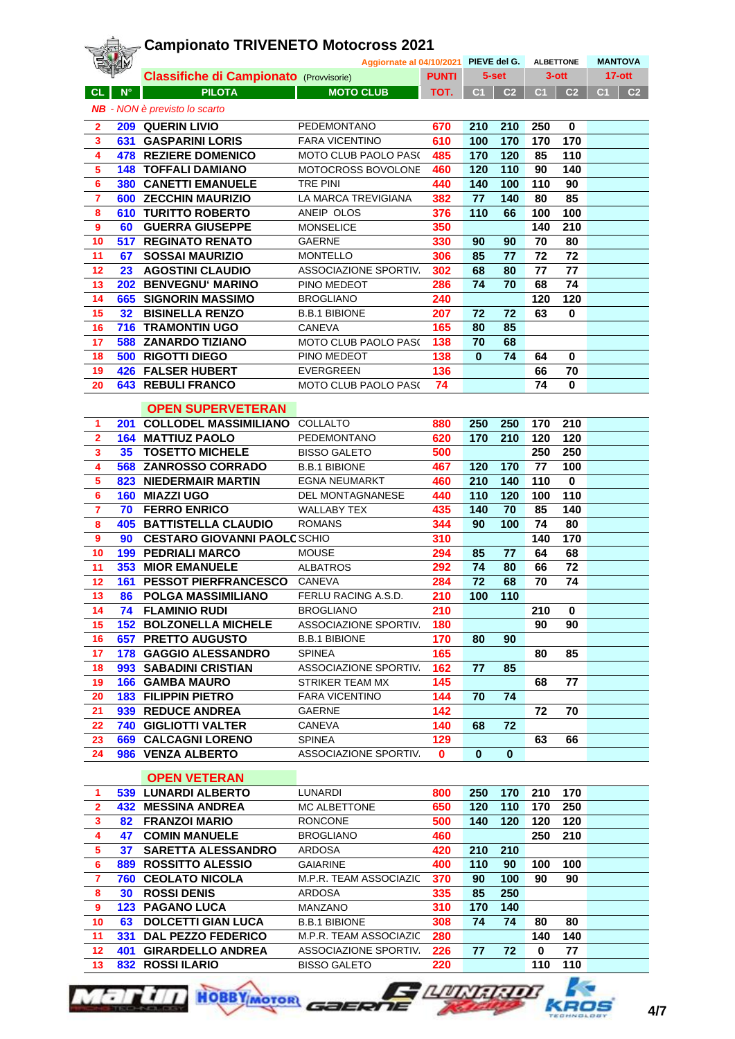|                         |                 | <b>Campionato TRIVENETO Motocross 2021</b>     |                                       |              |                |                |     |                  |                                  |
|-------------------------|-----------------|------------------------------------------------|---------------------------------------|--------------|----------------|----------------|-----|------------------|----------------------------------|
|                         |                 |                                                | Aggiornate al 04/10/2021 PIEVE del G. |              |                |                |     | <b>ALBETTONE</b> | <b>MANTOVA</b>                   |
|                         |                 | <b>Classifiche di Campionato (Provvisorie)</b> |                                       | <b>PUNTI</b> |                | 5-set          |     | $3$ -ott         | $17-ott$                         |
| <b>CL</b>               | $N^{\circ}$     | <b>PILOTA</b>                                  | <b>MOTO CLUB</b>                      | TOT.         | C <sub>1</sub> | C <sub>2</sub> | C1  | C <sub>2</sub>   | C <sub>1</sub><br>C <sub>2</sub> |
|                         |                 | <b>NB</b> - NON è previsto lo scarto           |                                       |              |                |                |     |                  |                                  |
| $\overline{2}$          |                 | 209 QUERIN LIVIO                               | PEDEMONTANO                           | 670          | 210            | 210            | 250 | 0                |                                  |
| $\mathbf{3}$            |                 | <b>631 GASPARINI LORIS</b>                     | <b>FARA VICENTINO</b>                 | 610          | 100            | 170            | 170 | 170              |                                  |
| 4                       |                 | <b>478 REZIERE DOMENICO</b>                    | <b>MOTO CLUB PAOLO PAS(</b>           | 485          | 170            | 120            | 85  | 110              |                                  |
| 5                       |                 | <b>148 TOFFALI DAMIANO</b>                     | MOTOCROSS BOVOLONE                    | 460          | 120            | 110            | 90  | 140              |                                  |
| 6                       |                 | <b>380 CANETTI EMANUELE</b>                    | <b>TRE PINI</b>                       | 440          | 140            | 100            | 110 | 90               |                                  |
| $\overline{\mathbf{r}}$ |                 | 600 ZECCHIN MAURIZIO                           | LA MARCA TREVIGIANA                   | 382          | 77             | 140            | 80  | 85               |                                  |
| 8                       |                 | <b>610 TURITTO ROBERTO</b>                     | ANEIP OLOS                            | 376          | 110            | 66             | 100 | 100              |                                  |
| 9                       | 60 -            | <b>GUERRA GIUSEPPE</b>                         | <b>MONSELICE</b>                      | 350          |                |                | 140 | 210              |                                  |
| 10                      |                 | <b>517 REGINATO RENATO</b>                     | <b>GAERNE</b>                         | 330          | 90             | 90             | 70  | 80               |                                  |
| 11                      | 67              | <b>SOSSAI MAURIZIO</b>                         | <b>MONTELLO</b>                       | 306          | 85             | 77             | 72  | 72               |                                  |
| 12                      | 23              | <b>AGOSTINI CLAUDIO</b>                        | ASSOCIAZIONE SPORTIV.                 | 302          | 68             | 80             | 77  | 77               |                                  |
| 13                      |                 | 202 BENVEGNU' MARINO                           | PINO MEDEOT                           | 286          | 74             | 70             | 68  | 74               |                                  |
| 14                      |                 | 665 SIGNORIN MASSIMO                           | <b>BROGLIANO</b>                      | 240          |                |                | 120 | 120              |                                  |
| 15                      | 32 <sup>°</sup> | <b>BISINELLA RENZO</b>                         | <b>B.B.1 BIBIONE</b>                  | 207          | 72             | 72             | 63  | $\bf{0}$         |                                  |
| 16                      |                 | <b>716 TRAMONTIN UGO</b>                       | <b>CANEVA</b>                         | 165          | 80             | 85             |     |                  |                                  |
| 17                      |                 | <b>588 ZANARDO TIZIANO</b>                     | MOTO CLUB PAOLO PAS(                  | 138          | 70             | 68             |     |                  |                                  |
| 18                      |                 | <b>500 RIGOTTI DIEGO</b>                       | PINO MEDEOT                           | 138          | $\bf{0}$       | 74             | 64  | 0                |                                  |
| 19                      |                 | <b>426 FALSER HUBERT</b>                       | <b>EVERGREEN</b>                      | 136          |                |                | 66  | 70               |                                  |
| 20                      |                 | <b>643 REBULI FRANCO</b>                       | MOTO CLUB PAOLO PAS(                  | 74           |                |                | 74  | 0                |                                  |
|                         |                 |                                                |                                       |              |                |                |     |                  |                                  |
|                         |                 | <b>OPEN SUPERVETERAN</b>                       |                                       |              |                |                |     |                  |                                  |
| 1                       |                 | <b>201 COLLODEL MASSIMILIANO</b>               | COLLALTO                              | 880          | 250            | 250            | 170 | 210              |                                  |
| $\overline{\mathbf{2}}$ | 164             | <b>MATTIUZ PAOLO</b>                           | PEDEMONTANO                           | 620          | 170            | 210            | 120 | 120              |                                  |
| 3                       | 35 <sub>2</sub> | <b>TOSETTO MICHELE</b>                         | <b>BISSO GALETO</b>                   | 500          |                |                | 250 | 250              |                                  |
| 4                       |                 | 568 ZANROSSO CORRADO                           | <b>B.B.1 BIBIONE</b>                  | 467          | 120            | 170            | 77  | 100              |                                  |
| 5                       | 823             | <b>NIEDERMAIR MARTIN</b>                       | <b>EGNA NEUMARKT</b>                  | 460          | 210            | 140            | 110 | $\bf{0}$         |                                  |
| 6                       |                 | 160 MIAZZI UGO                                 | DEL MONTAGNANESE                      | 440          | 110            | 120            | 100 | 110              |                                  |
| $\overline{\mathbf{7}}$ | 70              | <b>FERRO ENRICO</b>                            | <b>WALLABY TEX</b>                    | 435          | 140            | 70             | 85  | 140              |                                  |
| 8                       |                 | <b>405 BATTISTELLA CLAUDIO</b>                 | <b>ROMANS</b>                         | 344          | 90             | 100            | 74  | 80               |                                  |
| $\bf{9}$                | 90              | <b>CESTARO GIOVANNI PAOLCSCHIO</b>             |                                       | 310          |                |                | 140 | 170              |                                  |
| 10                      |                 | <b>199 PEDRIALI MARCO</b>                      | <b>MOUSE</b>                          | 294          | 85             | 77             | 64  | 68               |                                  |
| 11                      |                 | <b>353 MIOR EMANUELE</b>                       | <b>ALBATROS</b>                       | 292          | 74             | 80             | 66  | 72               |                                  |
| 12                      | 161             | <b>PESSOT PIERFRANCESCO</b>                    | CANEVA                                | 284          | 72             | 68             | 70  | 74               |                                  |
| 13                      |                 | <b>86 POLGA MASSIMILIANO</b>                   | FERLU RACING A.S.D.                   | 210          | 100            | 110            |     |                  |                                  |
| 14                      | 74              | <b>FLAMINIO RUDI</b>                           | <b>BROGLIANO</b>                      | 210          |                |                | 210 | 0                |                                  |
| 15                      |                 | <b>152 BOLZONELLA MICHELE</b>                  | ASSOCIAZIONE SPORTIV.                 | 180          |                |                | 90  | 90               |                                  |
| 16                      | 657             | <b>PRETTO AUGUSTO</b>                          | <b>B.B.1 BIBIONE</b>                  | 170          | 80             | 90             |     |                  |                                  |
| 17                      |                 | 178 GAGGIO ALESSANDRO                          | <b>SPINEA</b>                         | 165          |                |                | 80  | 85               |                                  |
| 18                      |                 | 993 SABADINI CRISTIAN                          | ASSOCIAZIONE SPORTIV.                 | 162          | 77             | 85             |     |                  |                                  |
| 19                      |                 | <b>166 GAMBA MAURO</b>                         | STRIKER TEAM MX                       | 145          |                |                | 68  | 77               |                                  |
| 20                      |                 | <b>183 FILIPPIN PIETRO</b>                     | <b>FARA VICENTINO</b>                 | 144          | 70             | 74             |     |                  |                                  |
| 21                      |                 | 939 REDUCE ANDREA                              | GAERNE                                | 142          |                |                | 72  | 70               |                                  |
| 22                      |                 | <b>740 GIGLIOTTI VALTER</b>                    | CANEVA                                | 140          | 68             | 72             |     |                  |                                  |
| 23                      |                 | <b>669 CALCAGNI LORENO</b>                     | <b>SPINEA</b>                         | 129          |                |                | 63  | 66               |                                  |
| 24                      |                 | 986 VENZA ALBERTO                              | ASSOCIAZIONE SPORTIV.                 | 0            | $\bf{0}$       | $\bf{0}$       |     |                  |                                  |
|                         |                 |                                                |                                       |              |                |                |     |                  |                                  |
|                         |                 | <b>OPEN VETERAN</b>                            |                                       |              |                |                |     |                  |                                  |
| $\mathbf{1}$            |                 | <b>539 LUNARDI ALBERTO</b>                     | LUNARDI                               | 800          | 250            | 170            | 210 | 170              |                                  |
| $\overline{\mathbf{2}}$ |                 | <b>432 MESSINA ANDREA</b>                      | MC ALBETTONE                          | 650          | 120            | 110            | 170 | 250              |                                  |
| 3                       | 82              | <b>FRANZOI MARIO</b>                           | <b>RONCONE</b>                        | 500          | 140            | 120            | 120 | 120              |                                  |
| 4                       | 47              | <b>COMIN MANUELE</b>                           | <b>BROGLIANO</b>                      | 460          |                |                | 250 | 210              |                                  |
| 5                       | 37              | <b>SARETTA ALESSANDRO</b>                      | ARDOSA                                | 420          | 210            | 210            |     |                  |                                  |
| $6\phantom{a}$          |                 | 889 ROSSITTO ALESSIO                           | <b>GAIARINE</b>                       | 400          | 110            | 90             | 100 | 100              |                                  |
| $\overline{7}$          |                 | <b>760 CEOLATO NICOLA</b>                      | M.P.R. TEAM ASSOCIAZIC                | 370          | 90             | 100            | 90  | 90               |                                  |
| 8                       | 30              | <b>ROSSI DENIS</b>                             | ARDOSA                                | 335          | 85             | 250            |     |                  |                                  |
| 9                       |                 | <b>123 PAGANO LUCA</b>                         | MANZANO                               | 310          | 170            | 140            |     |                  |                                  |
| 10                      | 63              | <b>DOLCETTI GIAN LUCA</b>                      | <b>B.B.1 BIBIONE</b>                  | 308          | 74             | 74             | 80  | 80               |                                  |
| 11                      | 331             | <b>DAL PEZZO FEDERICO</b>                      | M.P.R. TEAM ASSOCIAZIC                | 280          |                |                | 140 | 140              |                                  |
| 12                      |                 | <b>401 GIRARDELLO ANDREA</b>                   | ASSOCIAZIONE SPORTIV.                 | 226          | 77             | 72             | 0   | 77               |                                  |
| 13                      |                 | 832 ROSSI ILARIO                               | <b>BISSO GALETO</b>                   | 220          |                |                | 110 | 110              |                                  |



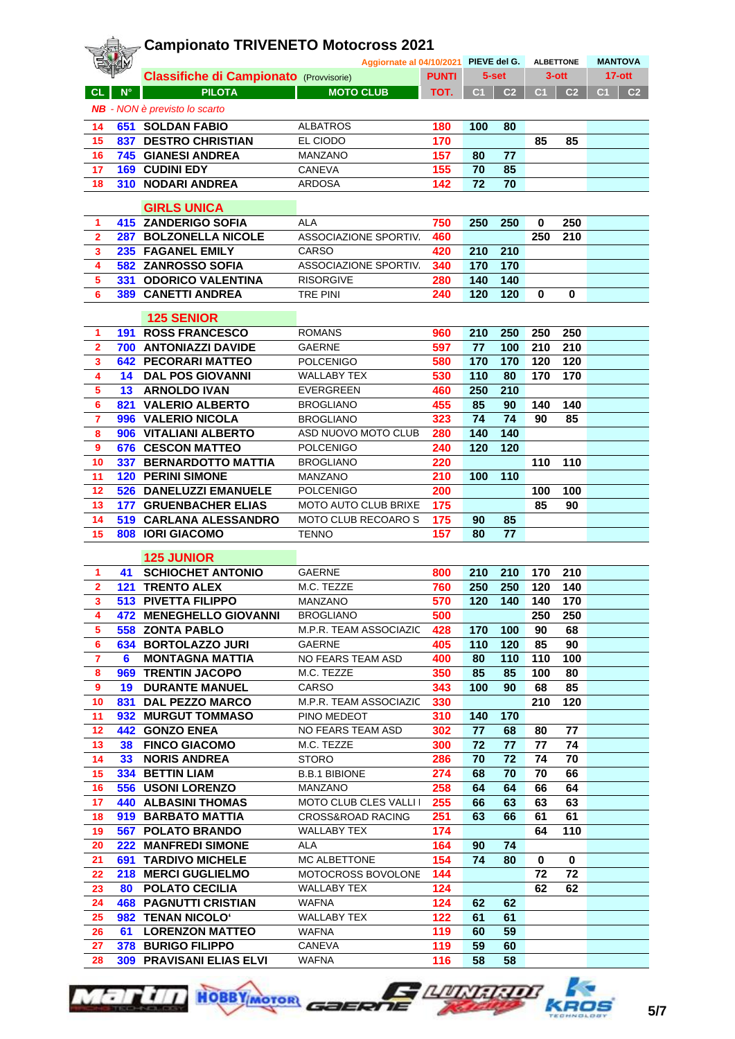|                         |                 | <b>Campionato TRIVENETO Motocross 2021</b>               |                                       |              |            |                |                  |                |                                  |
|-------------------------|-----------------|----------------------------------------------------------|---------------------------------------|--------------|------------|----------------|------------------|----------------|----------------------------------|
|                         |                 | <b>Classifiche di Campionato (Provvisorie)</b>           | Aggiornate al 04/10/2021 PIEVE del G. | <b>PUNTI</b> |            | 5-set          | <b>ALBETTONE</b> | $3$ -ott       | <b>MANTOVA</b><br>$17-ott$       |
| <b>CL</b>               | $N^{\circ}$     | <b>PILOTA</b>                                            | <b>MOTO CLUB</b>                      | TOT.         | C1         | C <sub>2</sub> | C <sub>1</sub>   | C <sub>2</sub> | C <sub>1</sub><br>C <sub>2</sub> |
|                         |                 | <b>NB</b> - NON è previsto lo scarto                     |                                       |              |            |                |                  |                |                                  |
|                         |                 |                                                          |                                       |              |            |                |                  |                |                                  |
| 14                      |                 | <b>651 SOLDAN FABIO</b>                                  | <b>ALBATROS</b><br>EL CIODO           | 180<br>170   | 100        | 80             | 85               | 85             |                                  |
| 15<br>16                |                 | <b>837 DESTRO CHRISTIAN</b><br><b>745 GIANESI ANDREA</b> | MANZANO                               | 157          | 80         | 77             |                  |                |                                  |
| 17                      |                 | <b>169 CUDINI EDY</b>                                    | CANEVA                                | 155          | 70         | 85             |                  |                |                                  |
| 18                      |                 | 310 NODARI ANDREA                                        | <b>ARDOSA</b>                         | 142          | 72         | 70             |                  |                |                                  |
|                         |                 |                                                          |                                       |              |            |                |                  |                |                                  |
|                         |                 | <b>GIRLS UNICA</b>                                       |                                       |              |            |                |                  |                |                                  |
| 1                       |                 | <b>415 ZANDERIGO SOFIA</b>                               | <b>ALA</b>                            | 750          | 250        | 250            | 0                | 250            |                                  |
| $\overline{2}$          |                 | 287 BOLZONELLA NICOLE                                    | ASSOCIAZIONE SPORTIV.                 | 460          |            |                | 250              | 210            |                                  |
| 3                       |                 | 235 FAGANEL EMILY                                        | CARSO                                 | 420          | 210        | 210            |                  |                |                                  |
| 4                       |                 | 582 ZANROSSO SOFIA                                       | ASSOCIAZIONE SPORTIV.                 | 340          | 170        | 170            |                  |                |                                  |
| 5<br>6                  |                 | 331 ODORICO VALENTINA<br><b>389 CANETTI ANDREA</b>       | <b>RISORGIVE</b><br><b>TRE PINI</b>   | 280<br>240   | 140<br>120 | 140<br>120     | $\bf{0}$         | 0              |                                  |
|                         |                 |                                                          |                                       |              |            |                |                  |                |                                  |
|                         |                 | <b>125 SENIOR</b>                                        |                                       |              |            |                |                  |                |                                  |
| 1                       |                 | <b>191 ROSS FRANCESCO</b>                                | <b>ROMANS</b>                         | 960          | 210        | 250            | 250              | 250            |                                  |
| $\mathbf{2}$            |                 | 700 ANTONIAZZI DAVIDE                                    | <b>GAERNE</b>                         | 597          | 77         | 100            | 210              | 210            |                                  |
| 3                       |                 | <b>642 PECORARI MATTEO</b>                               | <b>POLCENIGO</b>                      | 580          | 170        | 170            | 120              | 120            |                                  |
| 4                       |                 | <b>14 DAL POS GIOVANNI</b>                               | <b>WALLABY TEX</b>                    | 530          | 110        | 80             | 170              | 170            |                                  |
| 5                       |                 | <b>13 ARNOLDO IVAN</b>                                   | <b>EVERGREEN</b>                      | 460          | 250        | 210            |                  |                |                                  |
| 6<br>$\overline{7}$     |                 | 821 VALERIO ALBERTO<br>996 VALERIO NICOLA                | <b>BROGLIANO</b><br><b>BROGLIANO</b>  | 455<br>323   | 85<br>74   | 90<br>74       | 140<br>90        | 140<br>85      |                                  |
| 8                       |                 | 906 VITALIANI ALBERTO                                    | ASD NUOVO MOTO CLUB                   | 280          | 140        | 140            |                  |                |                                  |
| 9                       |                 | <b>676 CESCON MATTEO</b>                                 | <b>POLCENIGO</b>                      | 240          | 120        | 120            |                  |                |                                  |
| 10                      |                 | 337 BERNARDOTTO MATTIA                                   | <b>BROGLIANO</b>                      | 220          |            |                | 110              | 110            |                                  |
| 11                      |                 | <b>120 PERINI SIMONE</b>                                 | <b>MANZANO</b>                        | 210          | 100        | 110            |                  |                |                                  |
| 12                      |                 | 526 DANELUZZI EMANUELE                                   | <b>POLCENIGO</b>                      | 200          |            |                | 100              | 100            |                                  |
| 13                      |                 | <b>177 GRUENBACHER ELIAS</b>                             | MOTO AUTO CLUB BRIXE                  | 175          |            |                | 85               | 90             |                                  |
| 14                      |                 | 519 CARLANA ALESSANDRO                                   | MOTO CLUB RECOARO S                   | 175          | 90         | 85             |                  |                |                                  |
| 15                      |                 | 808 IORI GIACOMO                                         | <b>TENNO</b>                          | 157          | 80         | 77             |                  |                |                                  |
|                         |                 | <b>125 JUNIOR</b>                                        |                                       |              |            |                |                  |                |                                  |
| 1                       |                 | <b>41 SCHIOCHET ANTONIO</b>                              | <b>GAERNE</b>                         | 800          | 210        | 210            | 170              | 210            |                                  |
| 2                       |                 | <b>121 TRENTO ALEX</b>                                   | M.C. TEZZE                            | 760          | 250        | 250            | 120              | 140            |                                  |
| 3                       |                 | 513 PIVETTA FILIPPO                                      | MANZANO                               | 570          | 120        | 140            | 140              | 170            |                                  |
| $\overline{\mathbf{4}}$ |                 | 472 MENEGHELLO GIOVANNI                                  | <b>BROGLIANO</b>                      | 500          |            |                | 250              | 250            |                                  |
| $\overline{\mathbf{5}}$ |                 | 558 ZONTA PABLO                                          | M.P.R. TEAM ASSOCIAZIC                | 428          | 170        | 100            | 90               | 68             |                                  |
| 6                       |                 | 634 BORTOLAZZO JURI                                      | GAERNE                                | 405          | 110        | 120            | 85               | 90             |                                  |
| $\overline{7}$          | 6               | <b>MONTAGNA MATTIA</b>                                   | NO FEARS TEAM ASD                     | 400          | 80         | 110            | 110              | 100            |                                  |
| 8                       |                 | 969 TRENTIN JACOPO                                       | M.C. TEZZE                            | 350          | 85         | 85             | 100              | 80             |                                  |
| 9                       |                 | <b>19 DURANTE MANUEL</b>                                 | <b>CARSO</b>                          | 343          | 100        | 90             | 68               | 85             |                                  |
| 10<br>11                |                 | 831 DAL PEZZO MARCO<br>932 MURGUT TOMMASO                | M.P.R. TEAM ASSOCIAZIC<br>PINO MEDEOT | 330<br>310   | 140        | 170            | 210              | 120            |                                  |
| 12                      |                 | 442 GONZO ENEA                                           | NO FEARS TEAM ASD                     | 302          | 77         | 68             | 80               | 77             |                                  |
| 13                      |                 | 38 FINCO GIACOMO                                         | M.C. TEZZE                            | 300          | 72         | 77             | 77               | 74             |                                  |
| 14                      | 33 <sup>2</sup> | <b>NORIS ANDREA</b>                                      | <b>STORO</b>                          | 286          | 70         | 72             | 74               | 70             |                                  |
| 15 <sub>1</sub>         |                 | 334 BETTIN LIAM                                          | <b>B.B.1 BIBIONE</b>                  | 274          | 68         | 70             | 70               | 66             |                                  |
| 16                      |                 | 556 USONI LORENZO                                        | MANZANO                               | 258          | 64         | 64             | 66               | 64             |                                  |
| 17 <sub>1</sub>         |                 | <b>440 ALBASINI THOMAS</b>                               | <b>MOTO CLUB CLES VALLI I</b>         | 255          | 66         | 63             | 63               | 63             |                                  |
| 18                      |                 | 919 BARBATO MATTIA                                       | <b>CROSS&amp;ROAD RACING</b>          | 251          | 63         | 66             | 61               | 61             |                                  |
| 19                      |                 | <b>567 POLATO BRANDO</b>                                 | <b>WALLABY TEX</b>                    | 174          |            |                | 64               | 110            |                                  |
| 20                      |                 | <b>222 MANFREDI SIMONE</b>                               | ALA                                   | 164          | 90         | 74             |                  |                |                                  |
| 21                      |                 | <b>691 TARDIVO MICHELE</b>                               | MC ALBETTONE                          | 154          | 74         | 80             | 0                | $\mathbf 0$    |                                  |
| 22                      |                 | <b>218 MERCI GUGLIELMO</b>                               | MOTOCROSS BOVOLONE                    | 144          |            |                | 72               | 72             |                                  |
| 23                      |                 | <b>80 POLATO CECILIA</b>                                 | <b>WALLABY TEX</b>                    | 124          |            |                | 62               | 62             |                                  |
| 24                      |                 | <b>468 PAGNUTTI CRISTIAN</b>                             | <b>WAFNA</b>                          | 124          | 62         | 62             |                  |                |                                  |
| 25<br>26                |                 | 982 TENAN NICOLO'<br><b>61 LORENZON MATTEO</b>           | <b>WALLABY TEX</b><br><b>WAFNA</b>    | 122<br>119   | 61<br>60   | 61<br>59       |                  |                |                                  |
| 27                      |                 | 378 BURIGO FILIPPO                                       | CANEVA                                | 119          | 59         | 60             |                  |                |                                  |
| 28                      |                 | <b>309 PRAVISANI ELIAS ELVI</b>                          | <b>WAFNA</b>                          | 116          | 58         | 58             |                  |                |                                  |
|                         |                 |                                                          |                                       |              |            |                |                  |                |                                  |





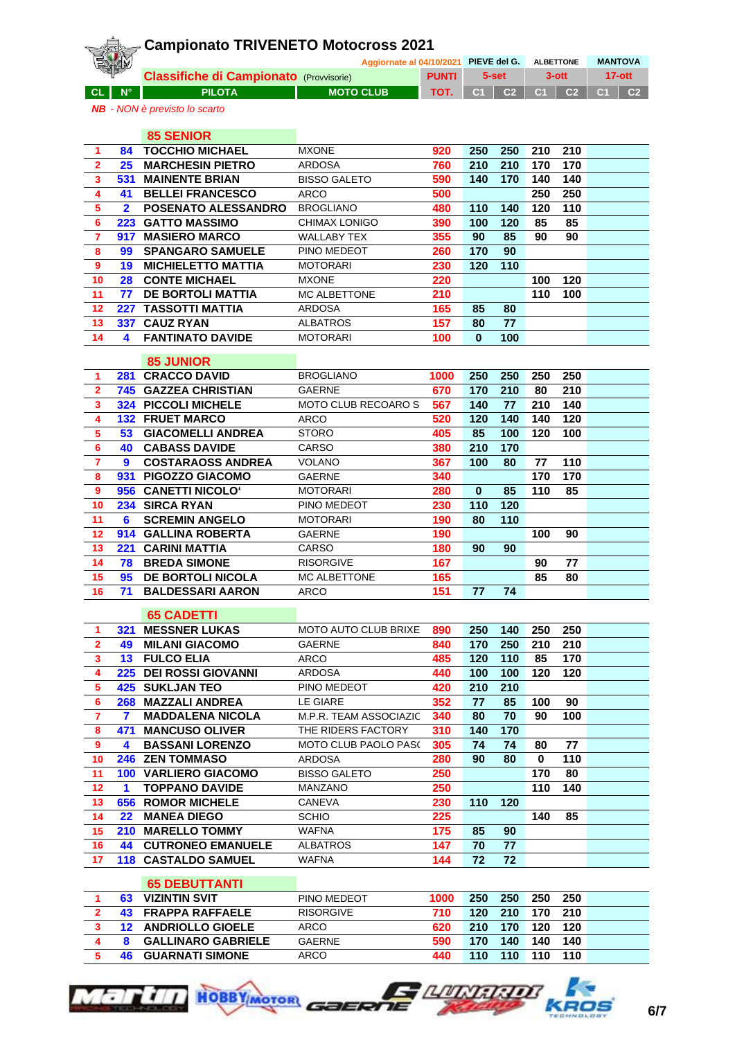|                              |                 | <b>Campionato TRIVENETO Motocross 2021</b>           |                                       |              |            |                |             |                  |                      |
|------------------------------|-----------------|------------------------------------------------------|---------------------------------------|--------------|------------|----------------|-------------|------------------|----------------------|
|                              |                 |                                                      | Aggiornate al 04/10/2021 PIEVE del G. |              |            |                |             | <b>ALBETTONE</b> | <b>MANTOVA</b>       |
|                              |                 | <b>Classifiche di Campionato (Provvisorie)</b>       |                                       | <b>PUNTI</b> |            | 5-set          |             | $3$ -ott         | $17-$ ott            |
| <b>CL</b>                    | $N^{\circ}$     | <b>PILOTA</b>                                        | <b>MOTO CLUB</b>                      | TOT.         | C1         | C <sub>2</sub> | C1          | C <sub>2</sub>   | C1<br>C <sub>2</sub> |
|                              |                 | <b>NB</b> - NON è previsto lo scarto                 |                                       |              |            |                |             |                  |                      |
|                              |                 |                                                      |                                       |              |            |                |             |                  |                      |
|                              |                 | <b>85 SENIOR</b>                                     |                                       |              |            |                |             |                  |                      |
| 1                            | 84              | <b>TOCCHIO MICHAEL</b>                               | <b>MXONE</b><br><b>ARDOSA</b>         | 920<br>760   | 250        | 250            | 210         | 210<br>170       |                      |
| $\overline{\mathbf{2}}$<br>3 | 25 <sub>2</sub> | <b>MARCHESIN PIETRO</b><br><b>531 MAINENTE BRIAN</b> | <b>BISSO GALETO</b>                   | 590          | 210<br>140 | 210<br>170     | 170<br>140  | 140              |                      |
| $\overline{\mathbf{4}}$      | 41              | <b>BELLEI FRANCESCO</b>                              | <b>ARCO</b>                           | 500          |            |                | 250         | 250              |                      |
| $\overline{\mathbf{5}}$      | $\mathbf{2}$    | POSENATO ALESSANDRO                                  | <b>BROGLIANO</b>                      | 480          | 110        | 140            | 120         | 110              |                      |
| $6\phantom{1}6$              |                 | 223 GATTO MASSIMO                                    | CHIMAX LONIGO                         | 390          | 100        | 120            | 85          | 85               |                      |
| $\overline{\mathbf{r}}$      | 917             | <b>MASIERO MARCO</b>                                 | WALLABY TEX                           | 355          | 90         | 85             | 90          | 90               |                      |
| 8                            | 99              | <b>SPANGARO SAMUELE</b>                              | PINO MEDEOT                           | 260          | 170        | 90             |             |                  |                      |
| 9                            | 19 <sup>°</sup> | <b>MICHIELETTO MATTIA</b>                            | <b>MOTORARI</b>                       | 230          | 120        | 110            |             |                  |                      |
| 10                           | 28              | <b>CONTE MICHAEL</b>                                 | <b>MXONE</b>                          | 220          |            |                | 100         | 120              |                      |
| 11                           | 77              | <b>DE BORTOLI MATTIA</b>                             | MC ALBETTONE                          | 210          |            |                | 110         | 100              |                      |
| 12                           |                 | <b>227 TASSOTTI MATTIA</b>                           | <b>ARDOSA</b>                         | 165          | 85         | 80             |             |                  |                      |
| 13                           |                 | 337 CAUZ RYAN                                        | <b>ALBATROS</b>                       | 157          | 80         | 77             |             |                  |                      |
| 14                           | 4               | <b>FANTINATO DAVIDE</b>                              | <b>MOTORARI</b>                       | 100          | $\bf{0}$   | 100            |             |                  |                      |
|                              |                 | <b>85 JUNIOR</b>                                     |                                       |              |            |                |             |                  |                      |
| 1                            |                 | 281 CRACCO DAVID                                     | <b>BROGLIANO</b>                      | 1000         | 250        | 250            | 250         | 250              |                      |
| $\overline{\mathbf{2}}$      |                 | <b>745 GAZZEA CHRISTIAN</b>                          | <b>GAERNE</b>                         | 670          | 170        | 210            | 80          | 210              |                      |
| $\mathbf{3}$                 |                 | <b>324 PICCOLI MICHELE</b>                           | <b>MOTO CLUB RECOARO S</b>            | 567          | 140        | 77             | 210         | 140              |                      |
| $\overline{\mathbf{4}}$      |                 | <b>132 FRUET MARCO</b>                               | <b>ARCO</b>                           | 520          | 120        | 140            | 140         | 120              |                      |
| 5                            |                 | <b>53 GIACOMELLI ANDREA</b>                          | <b>STORO</b>                          | 405          | 85         | 100            | 120         | 100              |                      |
| 6                            |                 | <b>40 CABASS DAVIDE</b>                              | CARSO                                 | 380          | 210        | 170            |             |                  |                      |
| $\overline{7}$               | 9               | <b>COSTARAOSS ANDREA</b>                             | <b>VOLANO</b>                         | 367          | 100        | 80             | 77          | 110              |                      |
| 8                            |                 | 931 PIGOZZO GIACOMO                                  | <b>GAERNE</b>                         | 340          |            |                | 170         | 170              |                      |
| 9                            |                 | 956 CANETTI NICOLO'                                  | <b>MOTORARI</b>                       | 280          | $\bf{0}$   | 85             | 110         | 85               |                      |
| 10                           |                 | 234 SIRCA RYAN                                       | PINO MEDEOT                           | 230          | 110        | 120            |             |                  |                      |
| 11                           | 6               | <b>SCREMIN ANGELO</b>                                | <b>MOTORARI</b>                       | 190          | 80         | 110            |             |                  |                      |
| 12                           |                 | 914 GALLINA ROBERTA                                  | <b>GAERNE</b>                         | 190          |            |                | 100         | 90               |                      |
| 13<br>14                     | 78              | <b>221 CARINI MATTIA</b><br><b>BREDA SIMONE</b>      | CARSO<br><b>RISORGIVE</b>             | 180<br>167   | 90         | 90             | 90          | 77               |                      |
| 15                           | 95              | <b>DE BORTOLI NICOLA</b>                             | MC ALBETTONE                          | 165          |            |                | 85          | 80               |                      |
| 16                           | 71              | <b>BALDESSARI AARON</b>                              | <b>ARCO</b>                           | 151          | 77         | 74             |             |                  |                      |
|                              |                 |                                                      |                                       |              |            |                |             |                  |                      |
|                              |                 | <b>65 CADETTI</b>                                    |                                       |              |            |                |             |                  |                      |
| $\mathbf{1}$                 | 321             | <b>MESSNER LUKAS</b>                                 | <b>MOTO AUTO CLUB BRIXE</b>           | 890          | 250        | 140            | 250         | 250              |                      |
| $\mathbf{2}$                 | 49              | <b>MILANI GIACOMO</b>                                | <b>GAERNE</b>                         | 840          | 170        | 250            | 210         | 210              |                      |
| $\mathbf{3}$                 | 13 <sup>7</sup> | <b>FULCO ELIA</b>                                    | ARCO                                  | 485          | 120        | 110            | 85          | 170              |                      |
| 4                            |                 | 225 DEI ROSSI GIOVANNI                               | <b>ARDOSA</b>                         | 440          | 100        | 100            | 120         | 120              |                      |
| 5                            |                 | <b>425 SUKLJAN TEO</b>                               | PINO MEDEOT                           | 420          | 210        | 210            |             |                  |                      |
| 6<br>$\mathbf{7}$            | 7               | <b>268 MAZZALI ANDREA</b><br><b>MADDALENA NICOLA</b> | LE GIARE<br>M.P.R. TEAM ASSOCIAZIC    | 352<br>340   | 77<br>80   | 85<br>70       | 100<br>90   | 90<br>100        |                      |
| 8                            |                 | 471 MANCUSO OLIVER                                   | THE RIDERS FACTORY                    | 310          | 140        | 170            |             |                  |                      |
| 9                            | 4               | <b>BASSANI LORENZO</b>                               | MOTO CLUB PAOLO PASO                  | 305          | 74         | 74             | 80          | 77               |                      |
| 10                           |                 | <b>246 ZEN TOMMASO</b>                               | ARDOSA                                | 280          | 90         | 80             | $\mathbf 0$ | 110              |                      |
| 11                           |                 | <b>100 VARLIERO GIACOMO</b>                          | <b>BISSO GALETO</b>                   | 250          |            |                | 170         | 80               |                      |
| 12                           | $\mathbf{1}$    | <b>TOPPANO DAVIDE</b>                                | <b>MANZANO</b>                        | 250          |            |                | 110         | 140              |                      |
| 13                           |                 | <b>656 ROMOR MICHELE</b>                             | CANEVA                                | 230          | 110        | 120            |             |                  |                      |
| 14                           |                 | 22 MANEA DIEGO                                       | <b>SCHIO</b>                          | 225          |            |                | 140         | 85               |                      |
| 15                           |                 | 210 MARELLO TOMMY                                    | <b>WAFNA</b>                          | 175          | 85         | 90             |             |                  |                      |
| 16                           |                 | <b>44 CUTRONEO EMANUELE</b>                          | <b>ALBATROS</b>                       | 147          | 70         | 77             |             |                  |                      |
| 17                           |                 | <b>118 CASTALDO SAMUEL</b>                           | <b>WAFNA</b>                          | 144          | 72         | 72             |             |                  |                      |
|                              |                 |                                                      |                                       |              |            |                |             |                  |                      |
|                              |                 | <b>65 DEBUTTANTI</b><br>63 VIZINTIN SVIT             | PINO MEDEOT                           | 1000         | 250        | 250            | 250         | 250              |                      |
| 1<br>$\mathbf{2}$            |                 | <b>43 FRAPPA RAFFAELE</b>                            | <b>RISORGIVE</b>                      | 710          | 120        | 210            | 170         | 210              |                      |
| $\mathbf{3}$                 |                 | <b>12 ANDRIOLLO GIOELE</b>                           | ARCO                                  | 620          | 210        | 170            | 120         | 120              |                      |
|                              |                 |                                                      |                                       |              |            |                |             |                  |                      |

 **8 GALLINARO GABRIELE** GAERNE **590 170 140 140 140 46 GUARNATI SIMONE** ARCO **440 110 110 110 110**